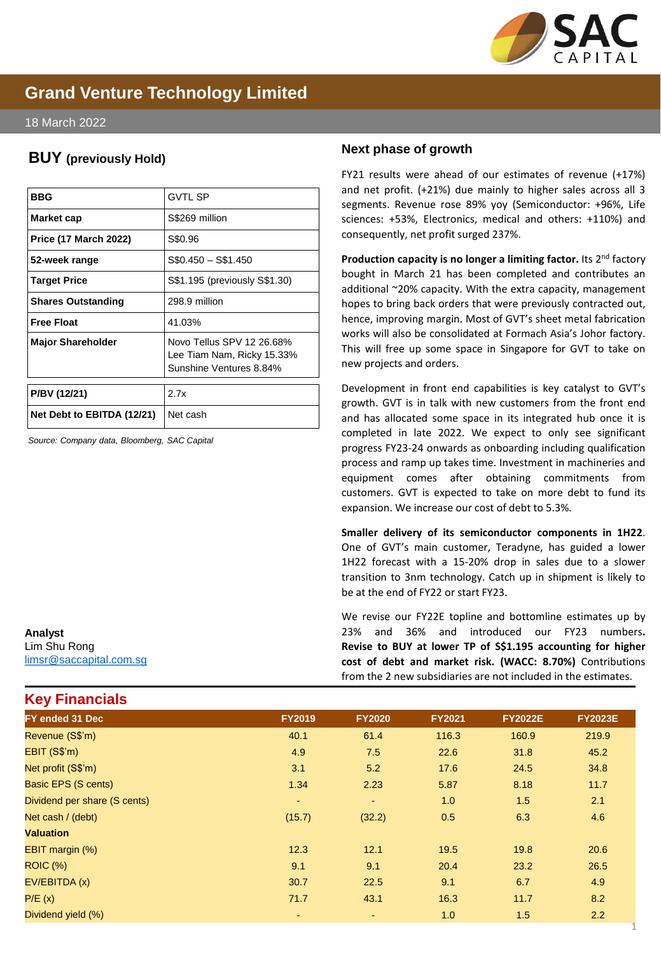

# **Grand Venture Technology Limited**

#### 18 March 2022

## **BUY (previously Hold)**

| BBG                          | <b>GVTL SP</b>                                                                     |  |  |
|------------------------------|------------------------------------------------------------------------------------|--|--|
| Market cap                   | S\$269 million                                                                     |  |  |
| <b>Price (17 March 2022)</b> | S\$0.96                                                                            |  |  |
| 52-week range                | $$0.450 - $1.450$                                                                  |  |  |
| <b>Target Price</b>          | S\$1.195 (previously S\$1.30)                                                      |  |  |
| <b>Shares Outstanding</b>    | 298.9 million                                                                      |  |  |
| <b>Free Float</b>            | 41.03%                                                                             |  |  |
| <b>Major Shareholder</b>     | Novo Tellus SPV 12 26.68%<br>Lee Tiam Nam, Ricky 15.33%<br>Sunshine Ventures 8.84% |  |  |
| P/BV (12/21)                 | 2.7x                                                                               |  |  |
| Net Debt to EBITDA (12/21)   | Net cash                                                                           |  |  |

*Source: Company data, Bloomberg, SAC Capital*

## Lim Shu Rong [limsr@saccapital.com.sg](mailto:tlim@saccapital.com.sg)

**Key Financials**

**Analyst**

## **Next phase of growth**

FY21 results were ahead of our estimates of revenue (+17%) and net profit. (+21%) due mainly to higher sales across all 3 segments. Revenue rose 89% yoy (Semiconductor: +96%, Life sciences: +53%, Electronics, medical and others: +110%) and consequently, net profit surged 237%.

**Production capacity is no longer a limiting factor.** Its 2 nd factory bought in March 21 has been completed and contributes an additional ~20% capacity. With the extra capacity, management hopes to bring back orders that were previously contracted out, hence, improving margin. Most of GVT's sheet metal fabrication works will also be consolidated at Formach Asia's Johor factory. This will free up some space in Singapore for GVT to take on new projects and orders.

Development in front end capabilities is key catalyst to GVT's growth. GVT is in talk with new customers from the front end and has allocated some space in its integrated hub once it is completed in late 2022. We expect to only see significant progress FY23-24 onwards as onboarding including qualification process and ramp up takes time. Investment in machineries and equipment comes after obtaining commitments from customers. GVT is expected to take on more debt to fund its expansion. We increase our cost of debt to 5.3%.

**Smaller delivery of its semiconductor components in 1H22**. One of GVT's main customer, Teradyne, has guided a lower 1H22 forecast with a 15-20% drop in sales due to a slower transition to 3nm technology. Catch up in shipment is likely to be at the end of FY22 or start FY23.

We revise our FY22E topline and bottomline estimates up by 23% and 36% and introduced our FY23 numbers**. Revise to BUY at lower TP of S\$1.195 accounting for higher cost of debt and market risk. (WACC: 8.70%)** Contributions from the 2 new subsidiaries are not included in the estimates.

1

| FY ended 31 Dec              | <b>FY2019</b> | <b>FY2020</b> | <b>FY2021</b> | <b>FY2022E</b> | <b>FY2023E</b> |
|------------------------------|---------------|---------------|---------------|----------------|----------------|
| Revenue (S\$'m)              | 40.1          | 61.4          | 116.3         | 160.9          | 219.9          |
| EBIT (S\$'m)                 | 4.9           | 7.5           | 22.6          | 31.8           | 45.2           |
| Net profit (S\$'m)           | 3.1           | 5.2           | 17.6          | 24.5           | 34.8           |
| Basic EPS (S cents)          | 1.34          | 2.23          | 5.87          | 8.18           | 11.7           |
| Dividend per share (S cents) | $\sim$        | ٠             | 1.0           | 1.5            | 2.1            |
| Net cash / (debt)            | (15.7)        | (32.2)        | 0.5           | 6.3            | 4.6            |
| <b>Valuation</b>             |               |               |               |                |                |
| EBIT margin (%)              | 12.3          | 12.1          | 19.5          | 19.8           | 20.6           |
| <b>ROIC (%)</b>              | 9.1           | 9.1           | 20.4          | 23.2           | 26.5           |
| EV/EBITDA (x)                | 30.7          | 22.5          | 9.1           | 6.7            | 4.9            |
| P/E(x)                       | 71.7          | 43.1          | 16.3          | 11.7           | 8.2            |
| Dividend yield (%)           | ٠             |               | 1.0           | 1.5            | 2.2            |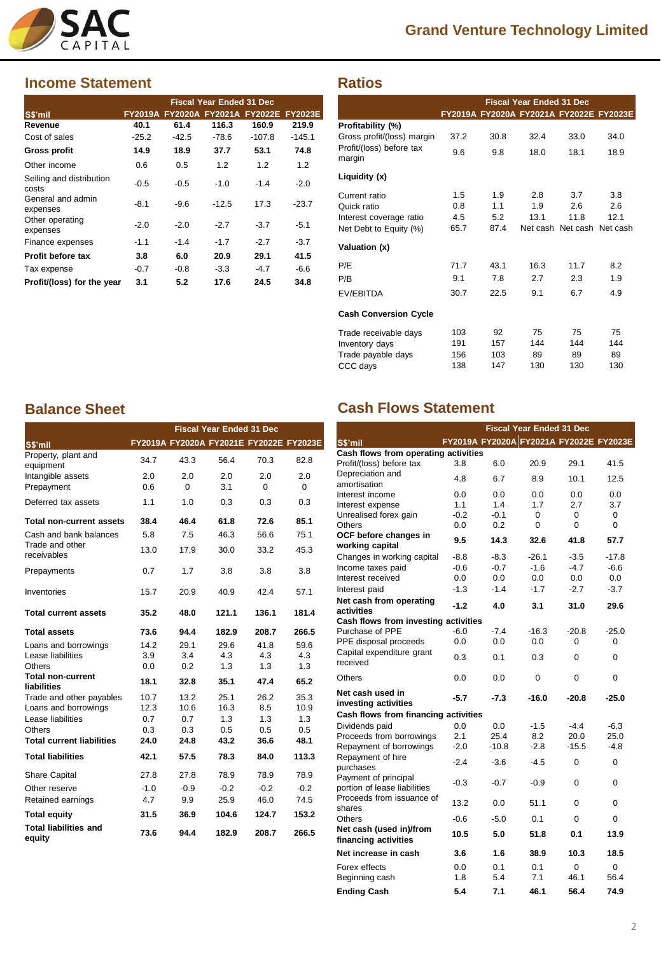

# **Grand Venture Technology Limited**

## **Income Statement**

|                                   |         |         | <b>Fiscal Year Ended 31 Dec</b>         |          |          |
|-----------------------------------|---------|---------|-----------------------------------------|----------|----------|
| S\$'mil                           |         |         | FY2019A FY2020A FY2021A FY2022E FY2023E |          |          |
| Revenue                           | 40.1    | 61.4    | 116.3                                   | 160.9    | 219.9    |
| Cost of sales                     | $-25.2$ | $-42.5$ | $-78.6$                                 | $-107.8$ | $-145.1$ |
| <b>Gross profit</b>               | 14.9    | 18.9    | 37.7                                    | 53.1     | 74.8     |
| Other income                      | 0.6     | 0.5     | 1.2                                     | 1.2      | 1.2      |
| Selling and distribution<br>costs | $-0.5$  | $-0.5$  | $-1.0$                                  | $-1.4$   | $-2.0$   |
| General and admin<br>expenses     | $-8.1$  | $-9.6$  | $-12.5$                                 | 17.3     | $-23.7$  |
| Other operating<br>expenses       | $-2.0$  | $-2.0$  | $-2.7$                                  | $-3.7$   | $-5.1$   |
| Finance expenses                  | $-1.1$  | $-1.4$  | $-1.7$                                  | $-2.7$   | $-3.7$   |
| Profit before tax                 | 3.8     | 6.0     | 20.9                                    | 29.1     | 41.5     |
| Tax expense                       | $-0.7$  | $-0.8$  | $-3.3$                                  | $-4.7$   | -6.6     |
| Profit/(loss) for the year        | 3.1     | 5.2     | 17.6                                    | 24.5     | 34.8     |

|                                    | <b>Fiscal Year Ended 31 Dec</b> |      |                                         |                            |      |
|------------------------------------|---------------------------------|------|-----------------------------------------|----------------------------|------|
|                                    |                                 |      | FY2019A FY2020A FY2021A FY2022E FY2023E |                            |      |
| Profitability (%)                  |                                 |      |                                         |                            |      |
| Gross profit/(loss) margin         | 37.2                            | 30.8 | 32.4                                    | 33.0                       | 34.0 |
| Profit/(loss) before tax<br>margin | 9.6                             | 9.8  | 18.0                                    | 18.1                       | 18.9 |
| Liquidity (x)                      |                                 |      |                                         |                            |      |
| Current ratio                      | 1.5                             | 1.9  | 2.8                                     | 3.7                        | 3.8  |
| Quick ratio                        | 0.8                             | 11   | 1.9                                     | 2.6                        | 2.6  |
| Interest coverage ratio            | 4.5                             | 5.2  | 13.1                                    | 11.8                       | 12.1 |
| Net Debt to Equity (%)             | 65.7                            | 87.4 |                                         | Net cash Net cash Net cash |      |
| Valuation (x)                      |                                 |      |                                         |                            |      |
| P/E                                | 71.7                            | 43.1 | 16.3                                    | 11.7                       | 8.2  |
| P/B                                | 9.1                             | 7.8  | 2.7                                     | 2.3                        | 1.9  |
| EV/EBITDA                          | 30.7                            | 22.5 | 9.1                                     | 6.7                        | 4.9  |
| <b>Cash Conversion Cycle</b>       |                                 |      |                                         |                            |      |
| Trade receivable days              | 103                             | 92   | 75                                      | 75                         | 75   |
| Inventory days                     | 191                             | 157  | 144                                     | 144                        | 144  |
| Trade payable days                 | 156                             | 103  | 89                                      | 89                         | 89   |
| CCC days                           | 138                             | 147  | 130                                     | 130                        | 130  |

|                                                | <b>Fiscal Year Ended 31 Dec</b> |                 |            |                                         |                 |
|------------------------------------------------|---------------------------------|-----------------|------------|-----------------------------------------|-----------------|
| S\$'mil                                        |                                 |                 |            | FY2019A FY2020A FY2021E FY2022E FY2023E |                 |
| Property, plant and<br>equipment               | 34.7                            | 43.3            | 56.4       | 70.3                                    | 82.8            |
| Intangible assets<br>Prepayment                | 2.0<br>0.6                      | 2.0<br>$\Omega$ | 2.0<br>3.1 | 2.0<br>0                                | 2.0<br>$\Omega$ |
| Deferred tax assets                            | 1.1                             | 1.0             | 0.3        | 0.3                                     | 0.3             |
| Total non-current assets                       | 38.4                            | 46.4            | 61.8       | 72.6                                    | 85.1            |
| Cash and bank balances                         | 5.8                             | 7.5             | 46.3       | 56.6                                    | 75.1            |
| Trade and other<br>receivables                 | 13.0                            | 17.9            | 30.0       | 33.2                                    | 45.3            |
| Prepayments                                    | 0.7                             | 1.7             | 3.8        | 3.8                                     | 3.8             |
| Inventories                                    | 15.7                            | 20.9            | 40.9       | 42.4                                    | 57.1            |
| <b>Total current assets</b>                    | 35.2                            | 48.0            | 121.1      | 136.1                                   | 181.4           |
| <b>Total assets</b>                            | 73.6                            | 94.4            | 182.9      | 208.7                                   | 266.5           |
| Loans and borrowings                           | 14.2                            | 29.1            | 29.6       | 41.8                                    | 59.6            |
| Lease liabilities                              | 3.9                             | 3.4             | 4.3        | 4.3                                     | 4.3             |
| Others                                         | 0.0                             | 0.2             | 1.3        | 1.3                                     | 1.3             |
| <b>Total non-current</b><br><b>liabilities</b> | 18.1                            | 32.8            | 35.1       | 47.4                                    | 65.2            |
| Trade and other payables                       | 10.7                            | 13.2            | 25.1       | 26.2                                    | 35.3            |
| Loans and borrowings                           | 12.3                            | 10.6            | 16.3       | 8.5                                     | 10.9            |
| Lease liabilities                              | 0.7                             | 0.7             | 1.3        | 1.3                                     | 1.3             |
| Others                                         | 0.3                             | 0.3             | 0.5        | 0.5                                     | 0.5             |
| <b>Total current liabilities</b>               | 24.0                            | 24.8            | 43.2       | 36.6                                    | 48.1            |
| <b>Total liabilities</b>                       | 42.1                            | 57.5            | 78.3       | 84.0                                    | 113.3           |
| <b>Share Capital</b>                           | 27.8                            | 27.8            | 78.9       | 78.9                                    | 78.9            |
| Other reserve                                  | $-1.0$                          | $-0.9$          | $-0.2$     | $-0.2$                                  | $-0.2$          |
| Retained earnings                              | 4.7                             | 9.9             | 25.9       | 46.0                                    | 74.5            |
| <b>Total equity</b>                            | 31.5                            | 36.9            | 104.6      | 124.7                                   | 153.2           |
| <b>Total liabilities and</b><br>equity         | 73.6                            | 94.4            | 182.9      | 208.7                                   | 266.5           |

## **Balance Sheet Cash Flows Statement**

**Ratios**

|                                      |        |         | <b>Fiscal Year Ended 31 Dec</b>         |         |          |
|--------------------------------------|--------|---------|-----------------------------------------|---------|----------|
| S\$'mil                              |        |         | FY2019A FY2020A FY2021A FY2022E FY2023E |         |          |
| Cash flows from operating activities |        |         |                                         |         |          |
| Profit/(loss) before tax             | 3.8    | 6.0     | 20.9                                    | 29.1    | 41.5     |
| Depreciation and                     | 4.8    | 6.7     | 8.9                                     | 10.1    | 12.5     |
| amortisation                         |        |         |                                         |         |          |
| Interest income                      | 0.0    | 0.0     | 0.0                                     | 0.0     | 0.0      |
| Interest expense                     | 1.1    | 1.4     | 1.7                                     | 2.7     | 3.7      |
| Unrealised forex gain                | $-0.2$ | $-0.1$  | 0                                       | 0       | 0        |
| Others                               | 0.0    | 0.2     | 0                                       | 0       | $\Omega$ |
| OCF before changes in                | 9.5    | 14.3    | 32.6                                    | 41.8    | 57.7     |
| working capital                      |        |         |                                         |         |          |
| Changes in working capital           | $-8.8$ | $-8.3$  | $-26.1$                                 | $-3.5$  | $-17.8$  |
| Income taxes paid                    | $-0.6$ | $-0.7$  | $-1.6$                                  | $-4.7$  | $-6.6$   |
| Interest received                    | 0.0    | 0.0     | 0.0                                     | 0.0     | 0.0      |
| Interest paid                        | $-1.3$ | $-1.4$  | $-1.7$                                  | $-2.7$  | $-3.7$   |
| Net cash from operating              | $-1.2$ | 4.0     | 3.1                                     | 31.0    | 29.6     |
| activities                           |        |         |                                         |         |          |
| Cash flows from investing activities |        |         |                                         |         |          |
| Purchase of PPE                      | $-6.0$ | $-7.4$  | $-16.3$                                 | $-20.8$ | $-25.0$  |
| PPE disposal proceeds                | 0.0    | 0.0     | 0.0                                     | 0       | 0        |
| Capital expenditure grant            | 0.3    | 0.1     | 0.3                                     | 0       | 0        |
| received                             |        |         |                                         |         |          |
| Others                               | 0.0    | 0.0     | 0                                       | 0       | 0        |
| Net cash used in                     |        |         |                                         |         |          |
| investing activities                 | $-5.7$ | $-7.3$  | $-16.0$                                 | $-20.8$ | $-25.0$  |
| Cash flows from financing activities |        |         |                                         |         |          |
| Dividends paid                       | 0.0    | 0.0     | $-1.5$                                  | $-4.4$  | $-6.3$   |
| Proceeds from borrowings             | 2.1    | 25.4    | 8.2                                     | 20.0    | 25.0     |
| Repayment of borrowings              | $-2.0$ | $-10.8$ | $-2.8$                                  | $-15.5$ | $-4.8$   |
| Repayment of hire                    |        |         |                                         |         |          |
| purchases                            | $-2.4$ | $-3.6$  | $-4.5$                                  | 0       | 0        |
| Payment of principal                 |        |         |                                         |         |          |
| portion of lease liabilities         | $-0.3$ | $-0.7$  | $-0.9$                                  | 0       | 0        |
| Proceeds from issuance of            |        |         |                                         |         |          |
| shares                               | 13.2   | 0.0     | 51.1                                    | 0       | 0        |
| Others                               | $-0.6$ | $-5.0$  | 0.1                                     | 0       | 0        |
| Net cash (used in)/from              |        |         |                                         |         |          |
| financing activities                 | 10.5   | 5.0     | 51.8                                    | 0.1     | 13.9     |
| Net increase in cash                 | 3.6    | 1.6     | 38.9                                    | 10.3    | 18.5     |
| Forex effects                        | 0.0    | 0.1     | 0.1                                     | 0       | 0        |
| Beginning cash                       | 1.8    | 5.4     | 7.1                                     | 46.1    | 56.4     |
| <b>Ending Cash</b>                   | 5.4    | 7.1     | 46.1                                    | 56.4    | 74.9     |
|                                      |        |         |                                         |         |          |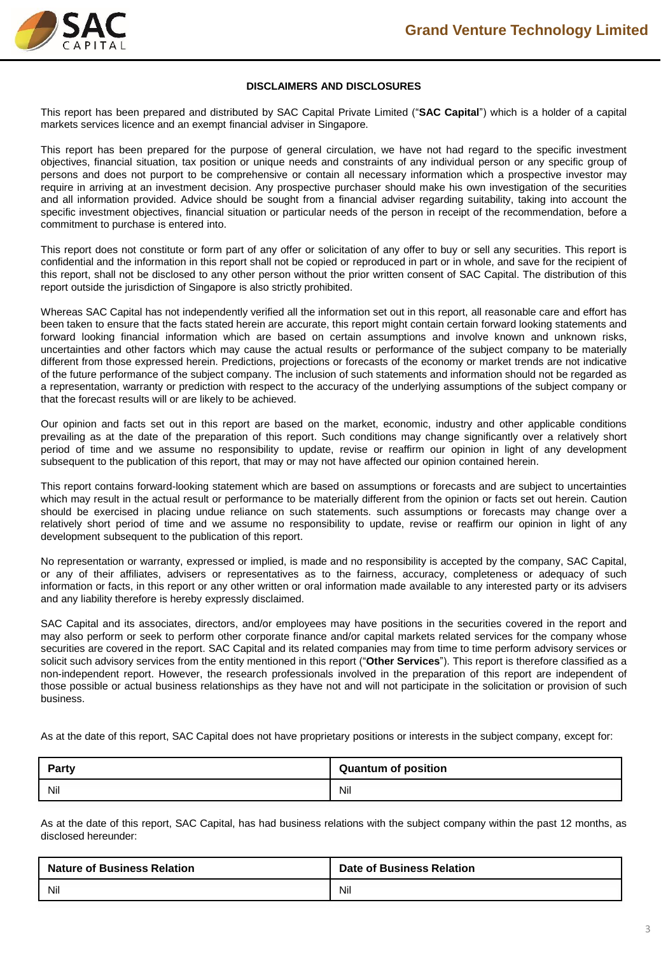

#### **DISCLAIMERS AND DISCLOSURES**

This report has been prepared and distributed by SAC Capital Private Limited ("**SAC Capital**") which is a holder of a capital markets services licence and an exempt financial adviser in Singapore.

This report has been prepared for the purpose of general circulation, we have not had regard to the specific investment objectives, financial situation, tax position or unique needs and constraints of any individual person or any specific group of persons and does not purport to be comprehensive or contain all necessary information which a prospective investor may require in arriving at an investment decision. Any prospective purchaser should make his own investigation of the securities and all information provided. Advice should be sought from a financial adviser regarding suitability, taking into account the specific investment objectives, financial situation or particular needs of the person in receipt of the recommendation, before a commitment to purchase is entered into.

This report does not constitute or form part of any offer or solicitation of any offer to buy or sell any securities. This report is confidential and the information in this report shall not be copied or reproduced in part or in whole, and save for the recipient of this report, shall not be disclosed to any other person without the prior written consent of SAC Capital. The distribution of this report outside the jurisdiction of Singapore is also strictly prohibited.

Whereas SAC Capital has not independently verified all the information set out in this report, all reasonable care and effort has been taken to ensure that the facts stated herein are accurate, this report might contain certain forward looking statements and forward looking financial information which are based on certain assumptions and involve known and unknown risks, uncertainties and other factors which may cause the actual results or performance of the subject company to be materially different from those expressed herein. Predictions, projections or forecasts of the economy or market trends are not indicative of the future performance of the subject company. The inclusion of such statements and information should not be regarded as a representation, warranty or prediction with respect to the accuracy of the underlying assumptions of the subject company or that the forecast results will or are likely to be achieved.

Our opinion and facts set out in this report are based on the market, economic, industry and other applicable conditions prevailing as at the date of the preparation of this report. Such conditions may change significantly over a relatively short period of time and we assume no responsibility to update, revise or reaffirm our opinion in light of any development subsequent to the publication of this report, that may or may not have affected our opinion contained herein.

This report contains forward-looking statement which are based on assumptions or forecasts and are subject to uncertainties which may result in the actual result or performance to be materially different from the opinion or facts set out herein. Caution should be exercised in placing undue reliance on such statements. such assumptions or forecasts may change over a relatively short period of time and we assume no responsibility to update, revise or reaffirm our opinion in light of any development subsequent to the publication of this report.

No representation or warranty, expressed or implied, is made and no responsibility is accepted by the company, SAC Capital, or any of their affiliates, advisers or representatives as to the fairness, accuracy, completeness or adequacy of such information or facts, in this report or any other written or oral information made available to any interested party or its advisers and any liability therefore is hereby expressly disclaimed.

SAC Capital and its associates, directors, and/or employees may have positions in the securities covered in the report and may also perform or seek to perform other corporate finance and/or capital markets related services for the company whose securities are covered in the report. SAC Capital and its related companies may from time to time perform advisory services or solicit such advisory services from the entity mentioned in this report ("**Other Services**"). This report is therefore classified as a non-independent report. However, the research professionals involved in the preparation of this report are independent of those possible or actual business relationships as they have not and will not participate in the solicitation or provision of such business.

As at the date of this report, SAC Capital does not have proprietary positions or interests in the subject company, except for:

| <b>Party</b> | <b>Quantum of position</b> |
|--------------|----------------------------|
| Nil          | Nil                        |

As at the date of this report, SAC Capital, has had business relations with the subject company within the past 12 months, as disclosed hereunder:

| <b>Nature of Business Relation</b> | <b>Date of Business Relation</b> |
|------------------------------------|----------------------------------|
| Nil                                | Nil                              |